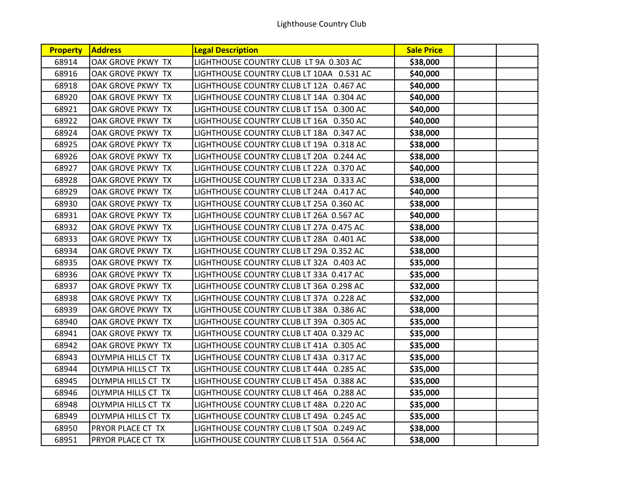| <b>Property</b> | <b>Address</b>             | <b>Legal Description</b>                 | <b>Sale Price</b> |  |
|-----------------|----------------------------|------------------------------------------|-------------------|--|
| 68914           | OAK GROVE PKWY TX          | LIGHTHOUSE COUNTRY CLUB LT 9A 0.303 AC   | \$38,000          |  |
| 68916           | OAK GROVE PKWY TX          | LIGHTHOUSE COUNTRY CLUB LT 10AA 0.531 AC | \$40,000          |  |
| 68918           | <b>OAK GROVE PKWY TX</b>   | LIGHTHOUSE COUNTRY CLUB LT 12A 0.467 AC  | \$40,000          |  |
| 68920           | OAK GROVE PKWY TX          | LIGHTHOUSE COUNTRY CLUB LT 14A 0.304 AC  | \$40,000          |  |
| 68921           | OAK GROVE PKWY TX          | LIGHTHOUSE COUNTRY CLUB LT 15A 0.300 AC  | \$40,000          |  |
| 68922           | OAK GROVE PKWY TX          | LIGHTHOUSE COUNTRY CLUB LT 16A 0.350 AC  | \$40,000          |  |
| 68924           | OAK GROVE PKWY TX          | LIGHTHOUSE COUNTRY CLUB LT 18A 0.347 AC  | \$38,000          |  |
| 68925           | <b>OAK GROVE PKWY TX</b>   | LIGHTHOUSE COUNTRY CLUB LT 19A 0.318 AC  | \$38,000          |  |
| 68926           | OAK GROVE PKWY TX          | LIGHTHOUSE COUNTRY CLUB LT 20A 0.244 AC  | \$38,000          |  |
| 68927           | OAK GROVE PKWY TX          | LIGHTHOUSE COUNTRY CLUB LT 22A 0.370 AC  | \$40,000          |  |
| 68928           | OAK GROVE PKWY TX          | LIGHTHOUSE COUNTRY CLUB LT 23A 0.333 AC  | \$38,000          |  |
| 68929           | OAK GROVE PKWY TX          | LIGHTHOUSE COUNTRY CLUB LT 24A 0.417 AC  | \$40,000          |  |
| 68930           | OAK GROVE PKWY TX          | LIGHTHOUSE COUNTRY CLUB LT 25A 0.360 AC  | \$38,000          |  |
| 68931           | OAK GROVE PKWY TX          | LIGHTHOUSE COUNTRY CLUB LT 26A 0.567 AC  | \$40,000          |  |
| 68932           | OAK GROVE PKWY TX          | LIGHTHOUSE COUNTRY CLUB LT 27A 0.475 AC  | \$38,000          |  |
| 68933           | OAK GROVE PKWY TX          | LIGHTHOUSE COUNTRY CLUB LT 28A 0.401 AC  | \$38,000          |  |
| 68934           | OAK GROVE PKWY TX          | LIGHTHOUSE COUNTRY CLUB LT 29A 0.352 AC  | \$38,000          |  |
| 68935           | <b>OAK GROVE PKWY TX</b>   | LIGHTHOUSE COUNTRY CLUB LT 32A 0.403 AC  | \$35,000          |  |
| 68936           | OAK GROVE PKWY TX          | LIGHTHOUSE COUNTRY CLUB LT 33A 0.417 AC  | \$35,000          |  |
| 68937           | OAK GROVE PKWY TX          | LIGHTHOUSE COUNTRY CLUB LT 36A 0.298 AC  | \$32,000          |  |
| 68938           | OAK GROVE PKWY TX          | LIGHTHOUSE COUNTRY CLUB LT 37A 0.228 AC  | \$32,000          |  |
| 68939           | OAK GROVE PKWY TX          | LIGHTHOUSE COUNTRY CLUB LT 38A 0.386 AC  | \$38,000          |  |
| 68940           | OAK GROVE PKWY TX          | LIGHTHOUSE COUNTRY CLUB LT 39A 0.305 AC  | \$35,000          |  |
| 68941           | OAK GROVE PKWY TX          | LIGHTHOUSE COUNTRY CLUB LT 40A 0.329 AC  | \$35,000          |  |
| 68942           | OAK GROVE PKWY TX          | LIGHTHOUSE COUNTRY CLUB LT 41A 0.305 AC  | \$35,000          |  |
| 68943           | <b>OLYMPIA HILLS CT TX</b> | LIGHTHOUSE COUNTRY CLUB LT 43A 0.317 AC  | \$35,000          |  |
| 68944           | <b>OLYMPIA HILLS CT TX</b> | LIGHTHOUSE COUNTRY CLUB LT 44A 0.285 AC  | \$35,000          |  |
| 68945           | <b>OLYMPIA HILLS CT TX</b> | LIGHTHOUSE COUNTRY CLUB LT 45A 0.388 AC  | \$35,000          |  |
| 68946           | <b>OLYMPIA HILLS CT TX</b> | LIGHTHOUSE COUNTRY CLUB LT 46A 0.288 AC  | \$35,000          |  |
| 68948           | OLYMPIA HILLS CT TX        | LIGHTHOUSE COUNTRY CLUB LT 48A 0.220 AC  | \$35,000          |  |
| 68949           | OLYMPIA HILLS CT TX        | LIGHTHOUSE COUNTRY CLUB LT 49A 0.245 AC  | \$35,000          |  |
| 68950           | PRYOR PLACE CT TX          | LIGHTHOUSE COUNTRY CLUB LT 50A 0.249 AC  | \$38,000          |  |
| 68951           | PRYOR PLACE CT TX          | LIGHTHOUSE COUNTRY CLUB LT 51A 0.564 AC  | \$38,000          |  |